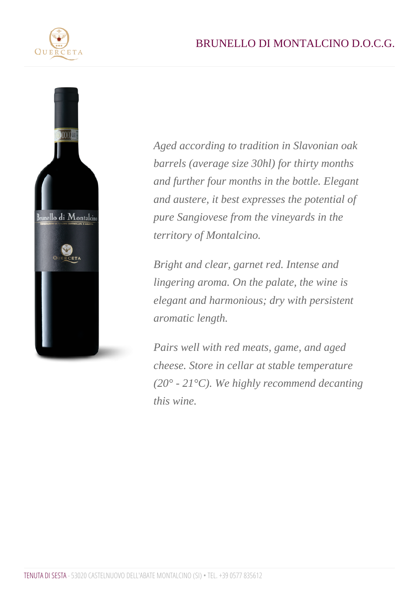Aged according to tradition in Slavonian oak barrels (average size 30hl) for thirty months and further four months in the bottle. Elegant and austere, it best expresses the potential of pure Sangiovese from the vineyards in the territory of Montalcino.

Bright and clear, garnet red. Intense and lingering aroma. On the palate, the wine is elegant and harmonious; dry with persistent aromatic length.

Pairs well with red meats, game, and aged cheese. Store in cellar at stable temperature (20° - 21°C). We highly recommend decanting this wine.